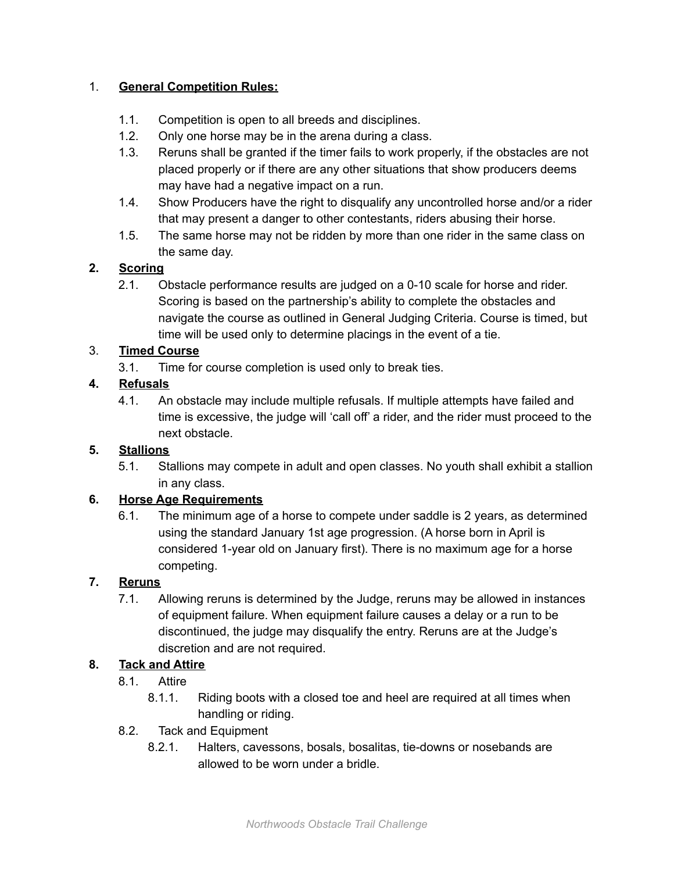### 1. **General Competition Rules:**

- 1.1. Competition is open to all breeds and disciplines.
- 1.2. Only one horse may be in the arena during a class.
- 1.3. Reruns shall be granted if the timer fails to work properly, if the obstacles are not placed properly or if there are any other situations that show producers deems may have had a negative impact on a run.
- 1.4. Show Producers have the right to disqualify any uncontrolled horse and/or a rider that may present a danger to other contestants, riders abusing their horse.
- 1.5. The same horse may not be ridden by more than one rider in the same class on the same day.

# **2. Scoring**

2.1. Obstacle performance results are judged on a 0-10 scale for horse and rider. Scoring is based on the partnership's ability to complete the obstacles and navigate the course as outlined in General Judging Criteria. Course is timed, but time will be used only to determine placings in the event of a tie.

# 3. **Timed Course**

3.1. Time for course completion is used only to break ties.

# **4. Refusals**

4.1. An obstacle may include multiple refusals. If multiple attempts have failed and time is excessive, the judge will 'call off' a rider, and the rider must proceed to the next obstacle.

### **5. Stallions**

5.1. Stallions may compete in adult and open classes. No youth shall exhibit a stallion in any class.

### **6. Horse Age Requirements**

6.1. The minimum age of a horse to compete under saddle is 2 years, as determined using the standard January 1st age progression. (A horse born in April is considered 1-year old on January first). There is no maximum age for a horse competing.

### **7. Reruns**

7.1. Allowing reruns is determined by the Judge, reruns may be allowed in instances of equipment failure. When equipment failure causes a delay or a run to be discontinued, the judge may disqualify the entry. Reruns are at the Judge's discretion and are not required.

### **8. Tack and Attire**

- 8.1. Attire
	- 8.1.1. Riding boots with a closed toe and heel are required at all times when handling or riding.
- 8.2. Tack and Equipment
	- 8.2.1. Halters, cavessons, bosals, bosalitas, tie-downs or nosebands are allowed to be worn under a bridle.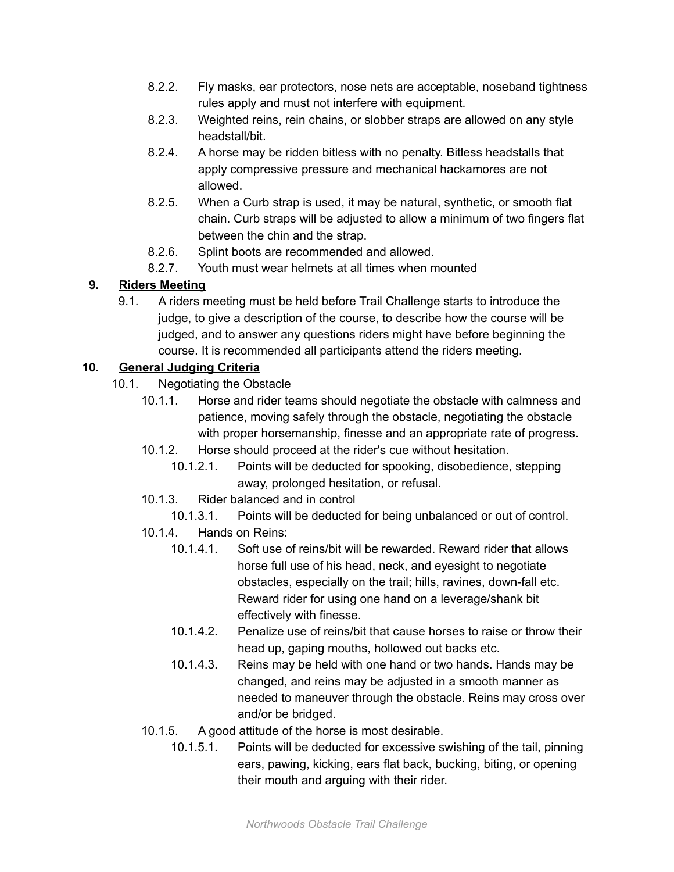- 8.2.2. Fly masks, ear protectors, nose nets are acceptable, noseband tightness rules apply and must not interfere with equipment.
- 8.2.3. Weighted reins, rein chains, or slobber straps are allowed on any style headstall/bit.
- 8.2.4. A horse may be ridden bitless with no penalty. Bitless headstalls that apply compressive pressure and mechanical hackamores are not allowed.
- 8.2.5. When a Curb strap is used, it may be natural, synthetic, or smooth flat chain. Curb straps will be adjusted to allow a minimum of two fingers flat between the chin and the strap.
- 8.2.6. Splint boots are recommended and allowed.
- 8.2.7. Youth must wear helmets at all times when mounted

# **9. Riders Meeting**

9.1. A riders meeting must be held before Trail Challenge starts to introduce the judge, to give a description of the course, to describe how the course will be judged, and to answer any questions riders might have before beginning the course. It is recommended all participants attend the riders meeting.

# **10. General Judging Criteria**

- 10.1. Negotiating the Obstacle
	- 10.1.1. Horse and rider teams should negotiate the obstacle with calmness and patience, moving safely through the obstacle, negotiating the obstacle with proper horsemanship, finesse and an appropriate rate of progress.
	- 10.1.2. Horse should proceed at the rider's cue without hesitation.
		- 10.1.2.1. Points will be deducted for spooking, disobedience, stepping away, prolonged hesitation, or refusal.
	- 10.1.3. Rider balanced and in control
		- 10.1.3.1. Points will be deducted for being unbalanced or out of control.
	- 10.1.4. Hands on Reins:
		- 10.1.4.1. Soft use of reins/bit will be rewarded. Reward rider that allows horse full use of his head, neck, and eyesight to negotiate obstacles, especially on the trail; hills, ravines, down-fall etc. Reward rider for using one hand on a leverage/shank bit effectively with finesse.
		- 10.1.4.2. Penalize use of reins/bit that cause horses to raise or throw their head up, gaping mouths, hollowed out backs etc.
		- 10.1.4.3. Reins may be held with one hand or two hands. Hands may be changed, and reins may be adjusted in a smooth manner as needed to maneuver through the obstacle. Reins may cross over and/or be bridged.
	- 10.1.5. A good attitude of the horse is most desirable.
		- 10.1.5.1. Points will be deducted for excessive swishing of the tail, pinning ears, pawing, kicking, ears flat back, bucking, biting, or opening their mouth and arguing with their rider.